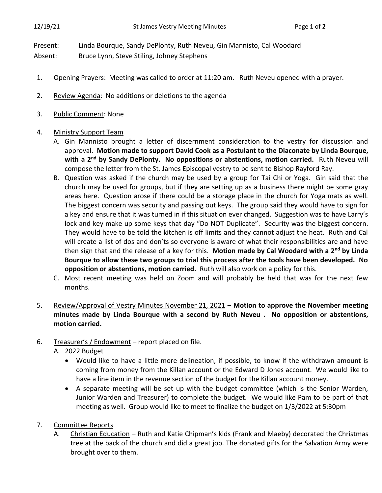Present: Linda Bourque, Sandy DePlonty, Ruth Neveu, Gin Mannisto, Cal Woodard

Absent: Bruce Lynn, Steve Stiling, Johney Stephens

- 1. Opening Prayers: Meeting was called to order at 11:20 am. Ruth Neveu opened with a prayer.
- 2. Review Agenda: No additions or deletions to the agenda
- 3. Public Comment: None

## 4. Ministry Support Team

- A. Gin Mannisto brought a letter of discernment consideration to the vestry for discussion and approval. **Motion made to support David Cook as a Postulant to the Diaconate by Linda Bourque, with a 2nd by Sandy DePlonty. No oppositions or abstentions, motion carried.** Ruth Neveu will compose the letter from the St. James Episcopal vestry to be sent to Bishop Rayford Ray.
- B. Question was asked if the church may be used by a group for Tai Chi or Yoga. Gin said that the church may be used for groups, but if they are setting up as a business there might be some gray areas here. Question arose if there could be a storage place in the church for Yoga mats as well. The biggest concern was security and passing out keys. The group said they would have to sign for a key and ensure that it was turned in if this situation ever changed. Suggestion was to have Larry's lock and key make up some keys that day "Do NOT Duplicate". Security was the biggest concern. They would have to be told the kitchen is off limits and they cannot adjust the heat. Ruth and Cal will create a list of dos and don'ts so everyone is aware of what their responsibilities are and have then sign that and the release of a key for this. **Motion made by Cal Woodard with a 2nd by Linda Bourque to allow these two groups to trial this process after the tools have been developed. No opposition or abstentions, motion carried.** Ruth will also work on a policy for this.
- C. Most recent meeting was held on Zoom and will probably be held that was for the next few months.
- 5. Review/Approval of Vestry Minutes November 21, 2021 **Motion to approve the November meeting minutes made by Linda Bourque with a second by Ruth Neveu . No opposition or abstentions, motion carried.**
- 6. Treasurer's / Endowment report placed on file.
	- A. 2022 Budget
		- Would like to have a little more delineation, if possible, to know if the withdrawn amount is coming from money from the Killan account or the Edward D Jones account. We would like to have a line item in the revenue section of the budget for the Killan account money.
		- A separate meeting will be set up with the budget committee (which is the Senior Warden, Junior Warden and Treasurer) to complete the budget. We would like Pam to be part of that meeting as well. Group would like to meet to finalize the budget on 1/3/2022 at 5:30pm
- 7. Committee Reports
	- A. Christian Education Ruth and Katie Chipman's kids (Frank and Maeby) decorated the Christmas tree at the back of the church and did a great job. The donated gifts for the Salvation Army were brought over to them.